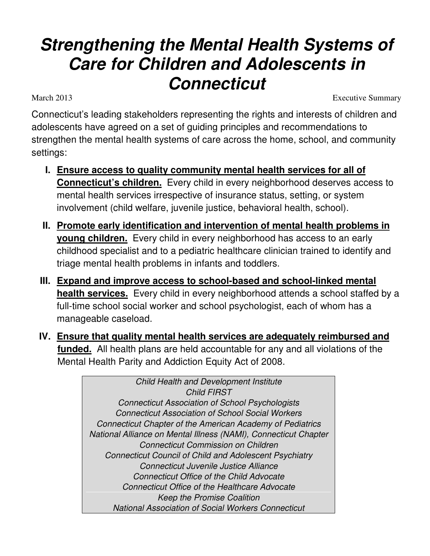# **Strengthening the Mental Health Systems of Care for Children and Adolescents in Connecticut**  March 2013 Executive Summary

Connecticut's leading stakeholders representing the rights and interests of children and adolescents have agreed on a set of guiding principles and recommendations to strengthen the mental health systems of care across the home, school, and community settings:

- **I. Ensure access to quality community mental health services for all of Connecticut's children.** Every child in every neighborhood deserves access to mental health services irrespective of insurance status, setting, or system involvement (child welfare, juvenile justice, behavioral health, school).
- **II. Promote early identification and intervention of mental health problems in young children.** Every child in every neighborhood has access to an early childhood specialist and to a pediatric healthcare clinician trained to identify and triage mental health problems in infants and toddlers.
- **III. Expand and improve access to school-based and school-linked mental health services.** Every child in every neighborhood attends a school staffed by a full-time school social worker and school psychologist, each of whom has a manageable caseload.
- **IV. Ensure that quality mental health services are adequately reimbursed and funded.** All health plans are held accountable for any and all violations of the Mental Health Parity and Addiction Equity Act of 2008.

Child Health and Development Institute Child FIRST Connecticut Association of School Psychologists Connecticut Association of School Social Workers Connecticut Chapter of the American Academy of Pediatrics National Alliance on Mental Illness (NAMI), Connecticut Chapter Connecticut Commission on Children Connecticut Council of Child and Adolescent Psychiatry Connecticut Juvenile Justice Alliance Connecticut Office of the Child Advocate Connecticut Office of the Healthcare Advocate Keep the Promise Coalition National Association of Social Workers Connecticut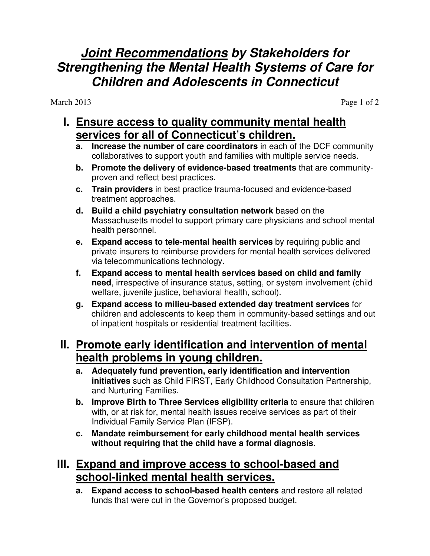# **Joint Recommendations by Stakeholders for Strengthening the Mental Health Systems of Care for Children and Adolescents in Connecticut**

March 2013 Page 1 of 2

#### **I. Ensure access to quality community mental health services for all of Connecticut's children.**

- **a. Increase the number of care coordinators** in each of the DCF community collaboratives to support youth and families with multiple service needs.
- **b. Promote the delivery of evidence-based treatments** that are communityproven and reflect best practices.
- **c. Train providers** in best practice trauma-focused and evidence-based treatment approaches.
- **d. Build a child psychiatry consultation network** based on the Massachusetts model to support primary care physicians and school mental health personnel.
- **e. Expand access to tele-mental health services** by requiring public and private insurers to reimburse providers for mental health services delivered via telecommunications technology.
- **f. Expand access to mental health services based on child and family need**, irrespective of insurance status, setting, or system involvement (child welfare, juvenile justice, behavioral health, school).
- **g. Expand access to milieu-based extended day treatment services** for children and adolescents to keep them in community-based settings and out of inpatient hospitals or residential treatment facilities.

## **II. Promote early identification and intervention of mental health problems in young children.**

- **a. Adequately fund prevention, early identification and intervention initiatives** such as Child FIRST, Early Childhood Consultation Partnership, and Nurturing Families.
- **b. Improve Birth to Three Services eligibility criteria** to ensure that children with, or at risk for, mental health issues receive services as part of their Individual Family Service Plan (IFSP).
- **c. Mandate reimbursement for early childhood mental health services without requiring that the child have a formal diagnosis**.

## **III. Expand and improve access to school-based and school-linked mental health services.**

**a. Expand access to school-based health centers** and restore all related funds that were cut in the Governor's proposed budget.